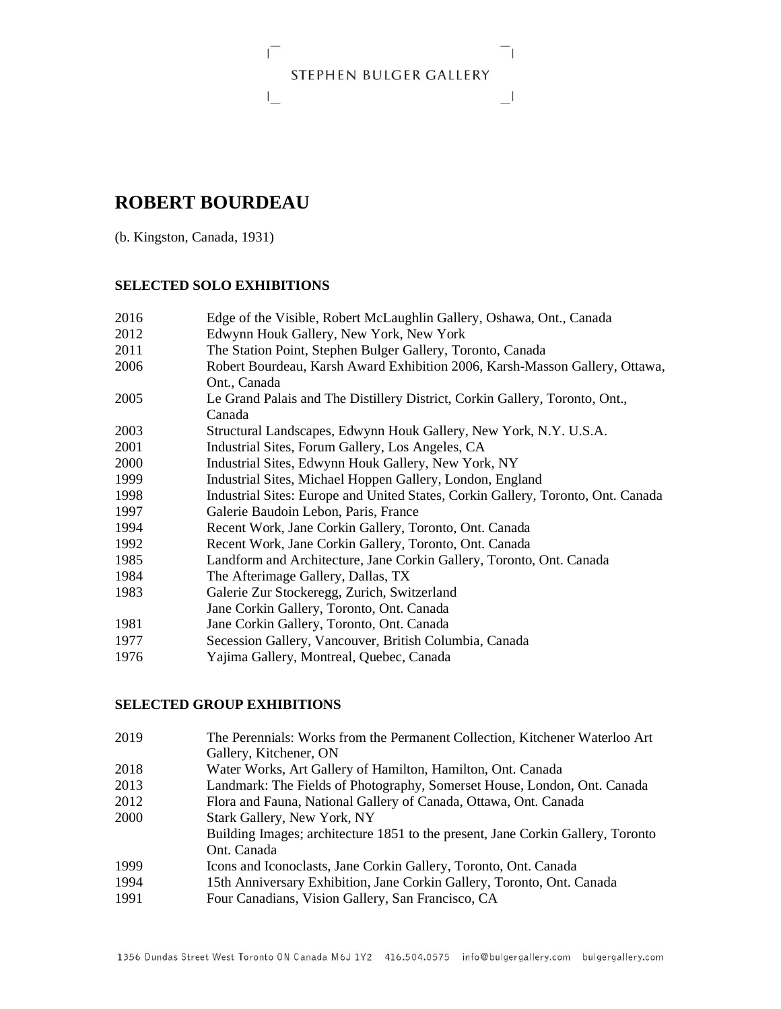# STEPHEN BULGER GALLERY

그

# **ROBERT BOURDEAU**

 $\Gamma$ 

 $\mathsf{L}$ 

(b. Kingston, Canada, 1931)

### **SELECTED SOLO EXHIBITIONS**

| 2016 | Edge of the Visible, Robert McLaughlin Gallery, Oshawa, Ont., Canada             |
|------|----------------------------------------------------------------------------------|
| 2012 | Edwynn Houk Gallery, New York, New York                                          |
| 2011 | The Station Point, Stephen Bulger Gallery, Toronto, Canada                       |
| 2006 | Robert Bourdeau, Karsh Award Exhibition 2006, Karsh-Masson Gallery, Ottawa,      |
|      | Ont., Canada                                                                     |
| 2005 | Le Grand Palais and The Distillery District, Corkin Gallery, Toronto, Ont.,      |
|      | Canada                                                                           |
| 2003 | Structural Landscapes, Edwynn Houk Gallery, New York, N.Y. U.S.A.                |
| 2001 | Industrial Sites, Forum Gallery, Los Angeles, CA                                 |
| 2000 | Industrial Sites, Edwynn Houk Gallery, New York, NY                              |
| 1999 | Industrial Sites, Michael Hoppen Gallery, London, England                        |
| 1998 | Industrial Sites: Europe and United States, Corkin Gallery, Toronto, Ont. Canada |
| 1997 | Galerie Baudoin Lebon, Paris, France                                             |
| 1994 | Recent Work, Jane Corkin Gallery, Toronto, Ont. Canada                           |
| 1992 | Recent Work, Jane Corkin Gallery, Toronto, Ont. Canada                           |
| 1985 | Landform and Architecture, Jane Corkin Gallery, Toronto, Ont. Canada             |
| 1984 | The Afterimage Gallery, Dallas, TX                                               |
| 1983 | Galerie Zur Stockeregg, Zurich, Switzerland                                      |
|      | Jane Corkin Gallery, Toronto, Ont. Canada                                        |
| 1981 | Jane Corkin Gallery, Toronto, Ont. Canada                                        |
| 1977 | Secession Gallery, Vancouver, British Columbia, Canada                           |
| 1976 | Yajima Gallery, Montreal, Quebec, Canada                                         |
|      |                                                                                  |

#### **SELECTED GROUP EXHIBITIONS**

| 2019 | The Perennials: Works from the Permanent Collection, Kitchener Waterloo Art     |
|------|---------------------------------------------------------------------------------|
|      | Gallery, Kitchener, ON                                                          |
| 2018 | Water Works, Art Gallery of Hamilton, Hamilton, Ont. Canada                     |
| 2013 | Landmark: The Fields of Photography, Somerset House, London, Ont. Canada        |
| 2012 | Flora and Fauna, National Gallery of Canada, Ottawa, Ont. Canada                |
| 2000 | Stark Gallery, New York, NY                                                     |
|      | Building Images; architecture 1851 to the present, Jane Corkin Gallery, Toronto |
|      | Ont. Canada                                                                     |
| 1999 | Icons and Iconoclasts, Jane Corkin Gallery, Toronto, Ont. Canada                |
| 1994 | 15th Anniversary Exhibition, Jane Corkin Gallery, Toronto, Ont. Canada          |
| 1991 | Four Canadians, Vision Gallery, San Francisco, CA                               |
|      |                                                                                 |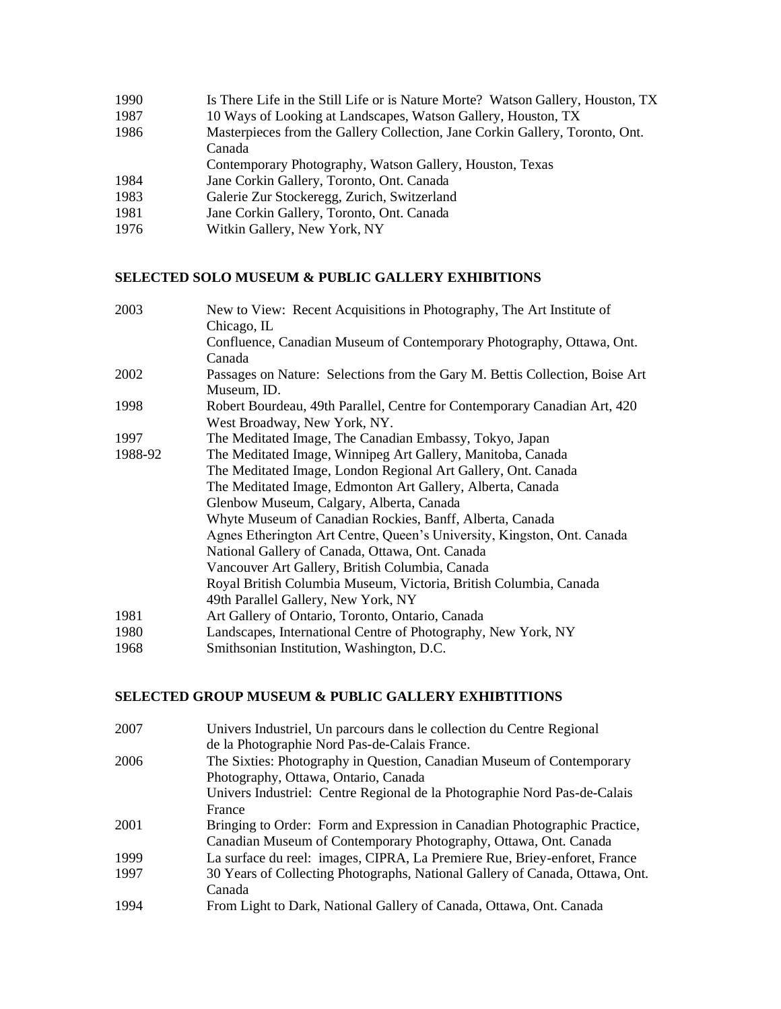| 1990 | Is There Life in the Still Life or is Nature Morte? Watson Gallery, Houston, TX |
|------|---------------------------------------------------------------------------------|
| 1987 | 10 Ways of Looking at Landscapes, Watson Gallery, Houston, TX                   |
| 1986 | Masterpieces from the Gallery Collection, Jane Corkin Gallery, Toronto, Ont.    |
|      | Canada                                                                          |
|      | Contemporary Photography, Watson Gallery, Houston, Texas                        |
| 1984 | Jane Corkin Gallery, Toronto, Ont. Canada                                       |
| 1983 | Galerie Zur Stockeregg, Zurich, Switzerland                                     |
| 1981 | Jane Corkin Gallery, Toronto, Ont. Canada                                       |
| 1976 | Witkin Gallery, New York, NY                                                    |
|      |                                                                                 |

## **SELECTED SOLO MUSEUM & PUBLIC GALLERY EXHIBITIONS**

| 2003    | New to View: Recent Acquisitions in Photography, The Art Institute of        |
|---------|------------------------------------------------------------------------------|
|         | Chicago, IL                                                                  |
|         | Confluence, Canadian Museum of Contemporary Photography, Ottawa, Ont.        |
|         | Canada                                                                       |
| 2002    | Passages on Nature: Selections from the Gary M. Bettis Collection, Boise Art |
|         | Museum, ID.                                                                  |
| 1998    | Robert Bourdeau, 49th Parallel, Centre for Contemporary Canadian Art, 420    |
|         | West Broadway, New York, NY.                                                 |
| 1997    | The Meditated Image, The Canadian Embassy, Tokyo, Japan                      |
| 1988-92 | The Meditated Image, Winnipeg Art Gallery, Manitoba, Canada                  |
|         | The Meditated Image, London Regional Art Gallery, Ont. Canada                |
|         | The Meditated Image, Edmonton Art Gallery, Alberta, Canada                   |
|         | Glenbow Museum, Calgary, Alberta, Canada                                     |
|         | Whyte Museum of Canadian Rockies, Banff, Alberta, Canada                     |
|         | Agnes Etherington Art Centre, Queen's University, Kingston, Ont. Canada      |
|         | National Gallery of Canada, Ottawa, Ont. Canada                              |
|         | Vancouver Art Gallery, British Columbia, Canada                              |
|         | Royal British Columbia Museum, Victoria, British Columbia, Canada            |
|         | 49th Parallel Gallery, New York, NY                                          |
| 1981    | Art Gallery of Ontario, Toronto, Ontario, Canada                             |
| 1980    | Landscapes, International Centre of Photography, New York, NY                |
| 1968    | Smithsonian Institution, Washington, D.C.                                    |

# **SELECTED GROUP MUSEUM & PUBLIC GALLERY EXHIBTITIONS**

| 2007 | Univers Industriel, Un parcours dans le collection du Centre Regional        |
|------|------------------------------------------------------------------------------|
|      | de la Photographie Nord Pas-de-Calais France.                                |
| 2006 | The Sixties: Photography in Question, Canadian Museum of Contemporary        |
|      | Photography, Ottawa, Ontario, Canada                                         |
|      | Univers Industriel: Centre Regional de la Photographie Nord Pas-de-Calais    |
|      | France                                                                       |
| 2001 | Bringing to Order: Form and Expression in Canadian Photographic Practice,    |
|      | Canadian Museum of Contemporary Photography, Ottawa, Ont. Canada             |
| 1999 | La surface du reel: images, CIPRA, La Premiere Rue, Briey-enforet, France    |
| 1997 | 30 Years of Collecting Photographs, National Gallery of Canada, Ottawa, Ont. |
|      | Canada                                                                       |
| 1994 | From Light to Dark, National Gallery of Canada, Ottawa, Ont. Canada          |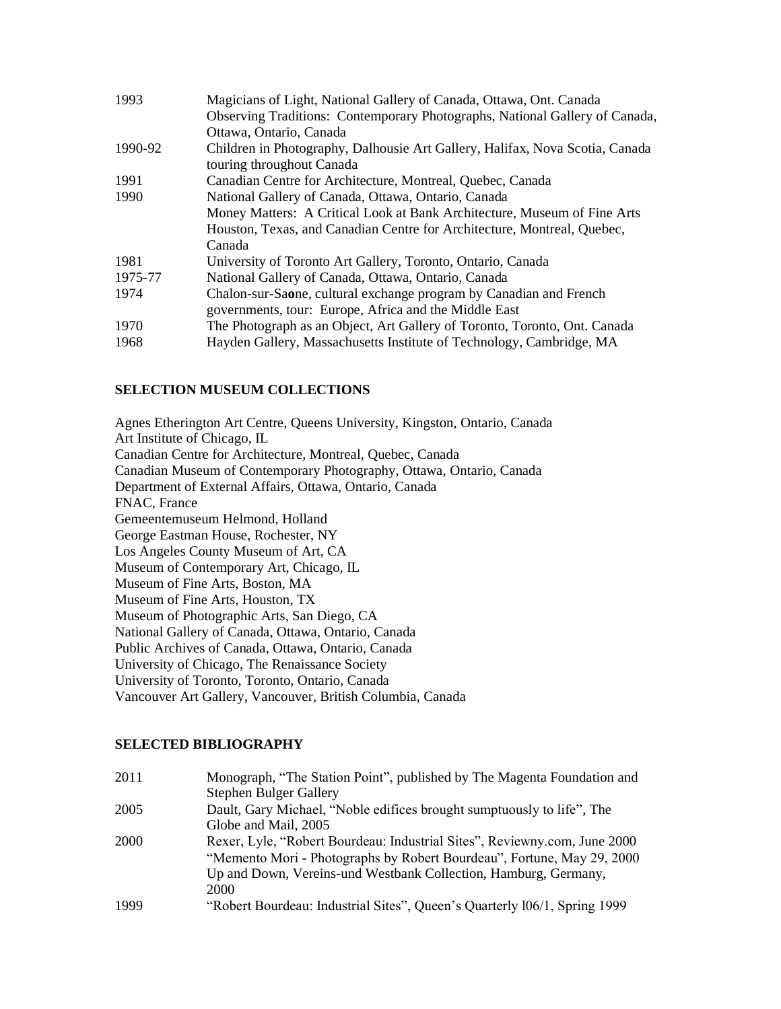| 1993    | Magicians of Light, National Gallery of Canada, Ottawa, Ont. Canada          |
|---------|------------------------------------------------------------------------------|
|         | Observing Traditions: Contemporary Photographs, National Gallery of Canada,  |
|         | Ottawa, Ontario, Canada                                                      |
| 1990-92 | Children in Photography, Dalhousie Art Gallery, Halifax, Nova Scotia, Canada |
|         | touring throughout Canada                                                    |
| 1991    | Canadian Centre for Architecture, Montreal, Quebec, Canada                   |
| 1990    | National Gallery of Canada, Ottawa, Ontario, Canada                          |
|         | Money Matters: A Critical Look at Bank Architecture, Museum of Fine Arts     |
|         | Houston, Texas, and Canadian Centre for Architecture, Montreal, Quebec,      |
|         | Canada                                                                       |
| 1981    | University of Toronto Art Gallery, Toronto, Ontario, Canada                  |
| 1975-77 | National Gallery of Canada, Ottawa, Ontario, Canada                          |
| 1974    | Chalon-sur-Saone, cultural exchange program by Canadian and French           |
|         | governments, tour: Europe, Africa and the Middle East                        |
| 1970    | The Photograph as an Object, Art Gallery of Toronto, Toronto, Ont. Canada    |
| 1968    | Hayden Gallery, Massachusetts Institute of Technology, Cambridge, MA         |

### **SELECTION MUSEUM COLLECTIONS**

Agnes Etherington Art Centre, Queens University, Kingston, Ontario, Canada Art Institute of Chicago, IL Canadian Centre for Architecture, Montreal, Quebec, Canada Canadian Museum of Contemporary Photography, Ottawa, Ontario, Canada Department of External Affairs, Ottawa, Ontario, Canada FNAC, France Gemeentemuseum Helmond, Holland George Eastman House, Rochester, NY Los Angeles County Museum of Art, CA Museum of Contemporary Art, Chicago, IL Museum of Fine Arts, Boston, MA Museum of Fine Arts, Houston, TX Museum of Photographic Arts, San Diego, CA National Gallery of Canada, Ottawa, Ontario, Canada Public Archives of Canada, Ottawa, Ontario, Canada University of Chicago, The Renaissance Society University of Toronto, Toronto, Ontario, Canada Vancouver Art Gallery, Vancouver, British Columbia, Canada

#### **SELECTED BIBLIOGRAPHY**

| 2011 | Monograph, "The Station Point", published by The Magenta Foundation and   |
|------|---------------------------------------------------------------------------|
|      | <b>Stephen Bulger Gallery</b>                                             |
| 2005 | Dault, Gary Michael, "Noble edifices brought sumptuously to life", The    |
|      | Globe and Mail, 2005                                                      |
| 2000 | Rexer, Lyle, "Robert Bourdeau: Industrial Sites", Reviewny.com, June 2000 |
|      | "Memento Mori - Photographs by Robert Bourdeau", Fortune, May 29, 2000    |
|      | Up and Down, Vereins-und Westbank Collection, Hamburg, Germany,           |
|      | 2000                                                                      |
| 1999 | "Robert Bourdeau: Industrial Sites", Queen's Quarterly 106/1, Spring 1999 |